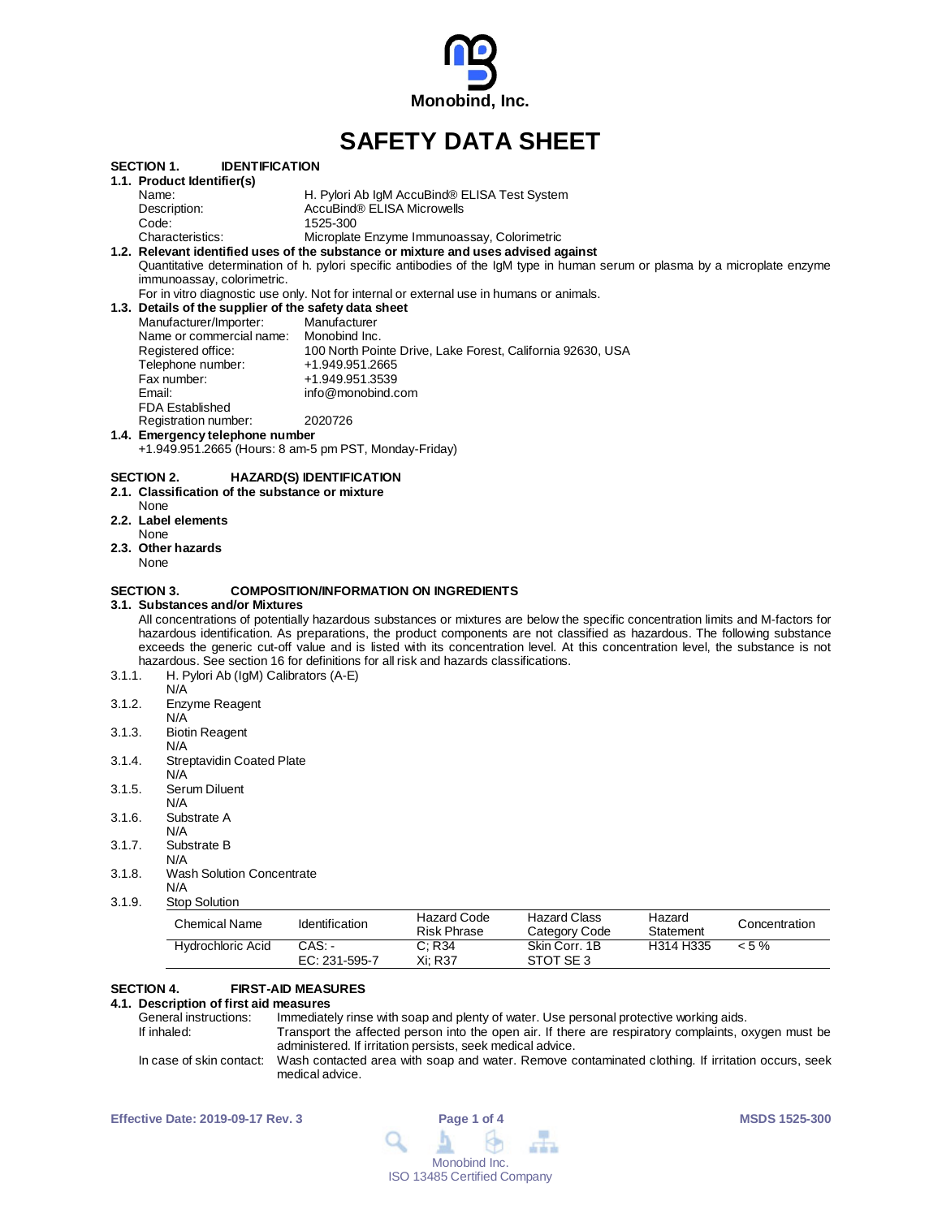

# **SAFETY DATA SHEET**

| 3.1.4.<br>3.1.5.<br>3.1.6.<br>3.1.7.<br>3.1.8.<br>3.1.9. | Serum Diluent<br>N/A<br>Substrate A<br>N/A<br>Substrate B<br>N/A<br><b>Wash Solution Concentrate</b><br>N/A<br><b>Stop Solution</b><br><b>Chemical Name</b><br><b>Hydrochloric Acid</b>                                                                        | Identification<br>$CAS: -$      | <b>Hazard Code</b><br><b>Risk Phrase</b><br>C; R34 | <b>Hazard Class</b><br>Category Code<br>Skin Corr. 1B      | Hazard<br>Statement<br>H314 H335 | Concentration<br>$< 5\%$ |
|----------------------------------------------------------|----------------------------------------------------------------------------------------------------------------------------------------------------------------------------------------------------------------------------------------------------------------|---------------------------------|----------------------------------------------------|------------------------------------------------------------|----------------------------------|--------------------------|
|                                                          |                                                                                                                                                                                                                                                                |                                 |                                                    |                                                            |                                  |                          |
|                                                          |                                                                                                                                                                                                                                                                |                                 |                                                    |                                                            |                                  |                          |
|                                                          |                                                                                                                                                                                                                                                                |                                 |                                                    |                                                            |                                  |                          |
|                                                          |                                                                                                                                                                                                                                                                |                                 |                                                    |                                                            |                                  |                          |
|                                                          |                                                                                                                                                                                                                                                                |                                 |                                                    |                                                            |                                  |                          |
|                                                          |                                                                                                                                                                                                                                                                |                                 |                                                    |                                                            |                                  |                          |
|                                                          |                                                                                                                                                                                                                                                                |                                 |                                                    |                                                            |                                  |                          |
|                                                          |                                                                                                                                                                                                                                                                |                                 |                                                    |                                                            |                                  |                          |
|                                                          | <b>Streptavidin Coated Plate</b><br>N/A                                                                                                                                                                                                                        |                                 |                                                    |                                                            |                                  |                          |
|                                                          | N/A                                                                                                                                                                                                                                                            |                                 |                                                    |                                                            |                                  |                          |
| 3.1.3.                                                   | <b>Biotin Reagent</b>                                                                                                                                                                                                                                          |                                 |                                                    |                                                            |                                  |                          |
|                                                          | Enzyme Reagent<br>N/A                                                                                                                                                                                                                                          |                                 |                                                    |                                                            |                                  |                          |
| 3.1.2.                                                   | N/A                                                                                                                                                                                                                                                            |                                 |                                                    |                                                            |                                  |                          |
| 3.1.1.                                                   | H. Pylori Ab (IgM) Calibrators (A-E)                                                                                                                                                                                                                           |                                 |                                                    |                                                            |                                  |                          |
|                                                          | hazardous. See section 16 for definitions for all risk and hazards classifications.                                                                                                                                                                            |                                 |                                                    |                                                            |                                  |                          |
|                                                          | exceeds the generic cut-off value and is listed with its concentration level. At this concentration level, the substance is not                                                                                                                                |                                 |                                                    |                                                            |                                  |                          |
|                                                          | All concentrations of potentially hazardous substances or mixtures are below the specific concentration limits and M-factors for<br>hazardous identification. As preparations, the product components are not classified as hazardous. The following substance |                                 |                                                    |                                                            |                                  |                          |
|                                                          | 3.1.  Substances and/or Mixtures                                                                                                                                                                                                                               |                                 |                                                    |                                                            |                                  |                          |
| <b>SECTION 3.</b>                                        |                                                                                                                                                                                                                                                                |                                 | <b>COMPOSITION/INFORMATION ON INGREDIENTS</b>      |                                                            |                                  |                          |
| None                                                     |                                                                                                                                                                                                                                                                |                                 |                                                    |                                                            |                                  |                          |
|                                                          | 2.3. Other hazards                                                                                                                                                                                                                                             |                                 |                                                    |                                                            |                                  |                          |
| None                                                     |                                                                                                                                                                                                                                                                |                                 |                                                    |                                                            |                                  |                          |
| None                                                     | 2.2. Label elements                                                                                                                                                                                                                                            |                                 |                                                    |                                                            |                                  |                          |
|                                                          | 2.1. Classification of the substance or mixture                                                                                                                                                                                                                |                                 |                                                    |                                                            |                                  |                          |
| SECTION 2.                                               |                                                                                                                                                                                                                                                                | <b>HAZARD(S) IDENTIFICATION</b> |                                                    |                                                            |                                  |                          |
|                                                          | +1.949.951.2665 (Hours: 8 am-5 pm PST, Monday-Friday)                                                                                                                                                                                                          |                                 |                                                    |                                                            |                                  |                          |
|                                                          | 1.4. Emergency telephone number                                                                                                                                                                                                                                |                                 |                                                    |                                                            |                                  |                          |
|                                                          | <b>FDA Established</b><br>Registration number:                                                                                                                                                                                                                 | 2020726                         |                                                    |                                                            |                                  |                          |
| Email:                                                   |                                                                                                                                                                                                                                                                | info@monobind.com               |                                                    |                                                            |                                  |                          |
|                                                          | Fax number:                                                                                                                                                                                                                                                    | +1.949.951.3539                 |                                                    |                                                            |                                  |                          |
|                                                          | Telephone number:                                                                                                                                                                                                                                              | +1.949.951.2665                 |                                                    |                                                            |                                  |                          |
|                                                          | Registered office:                                                                                                                                                                                                                                             |                                 |                                                    | 100 North Pointe Drive, Lake Forest, California 92630, USA |                                  |                          |
|                                                          | Manufacturer/Importer:<br>Name or commercial name: Monobind Inc.                                                                                                                                                                                               | Manufacturer                    |                                                    |                                                            |                                  |                          |
|                                                          | 1.3. Details of the supplier of the safety data sheet                                                                                                                                                                                                          |                                 |                                                    |                                                            |                                  |                          |
|                                                          | For in vitro diagnostic use only. Not for internal or external use in humans or animals.                                                                                                                                                                       |                                 |                                                    |                                                            |                                  |                          |
|                                                          | immunoassay, colorimetric.                                                                                                                                                                                                                                     |                                 |                                                    |                                                            |                                  |                          |
|                                                          | Quantitative determination of h. pylori specific antibodies of the IgM type in human serum or plasma by a microplate enzyme                                                                                                                                    |                                 |                                                    |                                                            |                                  |                          |
|                                                          | Characteristics:<br>1.2. Relevant identified uses of the substance or mixture and uses advised against                                                                                                                                                         |                                 | Microplate Enzyme Immunoassay, Colorimetric        |                                                            |                                  |                          |
|                                                          |                                                                                                                                                                                                                                                                | 1525-300                        |                                                    |                                                            |                                  |                          |
| Code:                                                    |                                                                                                                                                                                                                                                                | AccuBind® ELISA Microwells      |                                                    |                                                            |                                  |                          |
| Description:                                             |                                                                                                                                                                                                                                                                |                                 | H. Pylori Ab IgM AccuBind® ELISA Test System       |                                                            |                                  |                          |

## **SECTION 4. FIRST-AID MEASURES**

**4.1. Description of first aid measures** General instructions: Immediately rinse with soap and plenty of water. Use personal protective working aids.<br>If inhaled: Transport the affected person into the open air. If there are respiratory complaints, o Transport the affected person into the open air. If there are respiratory complaints, oxygen must be administered. If irritation persists, seek medical advice. In case of skin contact: Wash contacted area with soap and water. Remove contaminated clothing. If irritation occurs, seek medical advice.

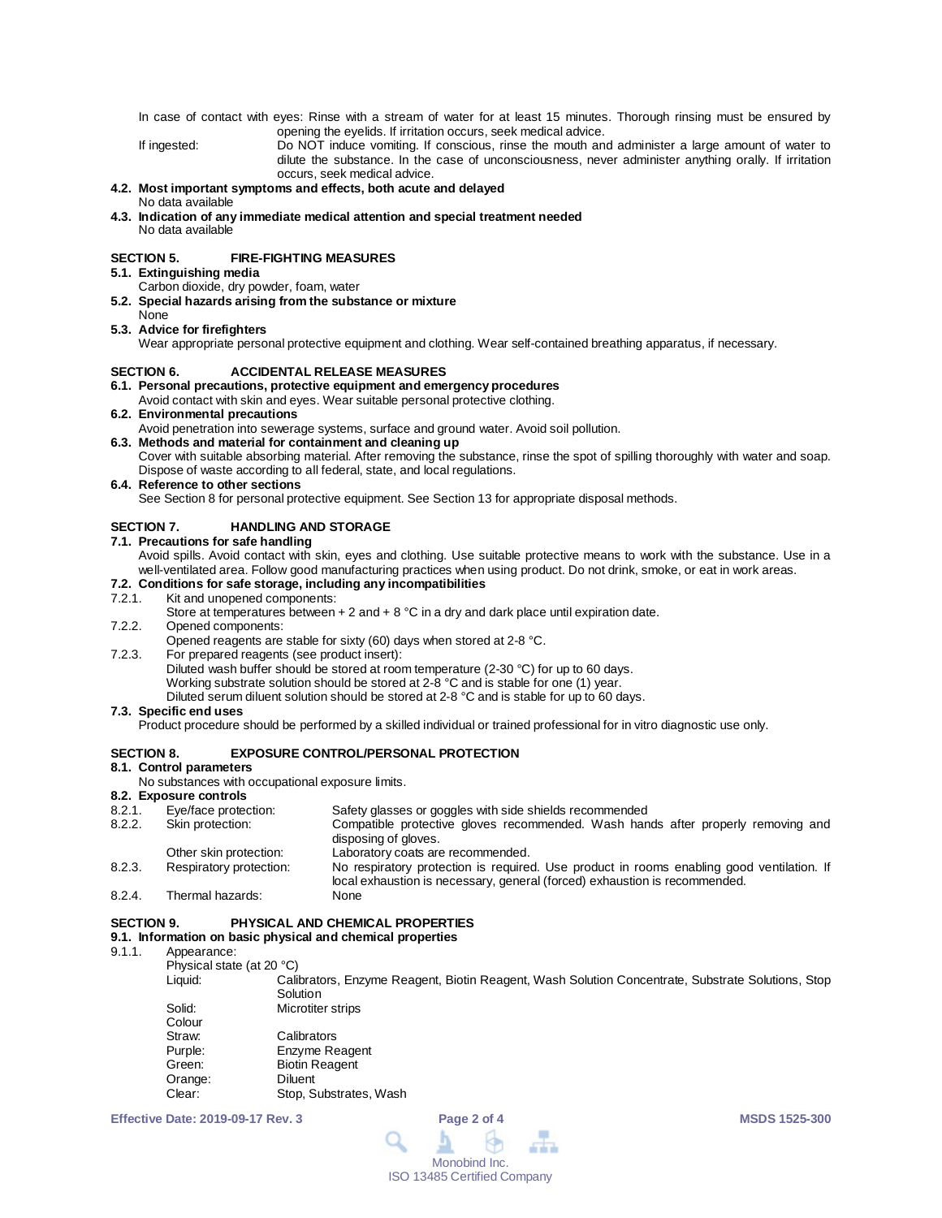In case of contact with eyes: Rinse with a stream of water for at least 15 minutes. Thorough rinsing must be ensured by opening the eyelids. If irritation occurs, seek medical advice.

If ingested: Do NOT induce vomiting. If conscious, rinse the mouth and administer a large amount of water to dilute the substance. In the case of unconsciousness, never administer anything orally. If irritation occurs, seek medical advice.

#### **4.2. Most important symptoms and effects, both acute and delayed** No data available

**4.3. Indication of any immediate medical attention and special treatment needed** No data available

## **SECTION 5. FIRE-FIGHTING MEASURES**

**5.1. Extinguishing media**

- Carbon dioxide, dry powder, foam, water
- **5.2. Special hazards arising from the substance or mixture**
- None **5.3. Advice for firefighters**

Wear appropriate personal protective equipment and clothing. Wear self-contained breathing apparatus, if necessary.

## **SECTION 6. ACCIDENTAL RELEASE MEASURES**

## **6.1. Personal precautions, protective equipment and emergency procedures**

Avoid contact with skin and eyes. Wear suitable personal protective clothing.

**6.2. Environmental precautions**

Avoid penetration into sewerage systems, surface and ground water. Avoid soil pollution.

## **6.3. Methods and material for containment and cleaning up**

Cover with suitable absorbing material. After removing the substance, rinse the spot of spilling thoroughly with water and soap. Dispose of waste according to all federal, state, and local regulations.

### **6.4. Reference to other sections**

See Section 8 for personal protective equipment. See Section 13 for appropriate disposal methods.

## **SECTION 7. HANDLING AND STORAGE**

### **7.1. Precautions for safe handling**

Avoid spills. Avoid contact with skin, eyes and clothing. Use suitable protective means to work with the substance. Use in a well-ventilated area. Follow good manufacturing practices when using product. Do not drink, smoke, or eat in work areas.

## **7.2. Conditions for safe storage, including any incompatibilities**

Kit and unopened components:

Store at temperatures between  $+ 2$  and  $+ 8$  °C in a dry and dark place until expiration date.

7.2.2. Opened components:

Opened reagents are stable for sixty (60) days when stored at 2-8 °C.

7.2.3. For prepared reagents (see product insert): Diluted wash buffer should be stored at room temperature (2-30 °C) for up to 60 days. Working substrate solution should be stored at 2-8 °C and is stable for one (1) year. Diluted serum diluent solution should be stored at 2-8 °C and is stable for up to 60 days.

## **7.3. Specific end uses**

Product procedure should be performed by a skilled individual or trained professional for in vitro diagnostic use only.

## **SECTION 8. EXPOSURE CONTROL/PERSONAL PROTECTION**

## **8.1. Control parameters**

No substances with occupational exposure limits.

## **8.2. Exposure controls**

| 8.2.1. | Eye/face protection:    | Safety glasses or goggles with side shields recommended                                                                                                                 |
|--------|-------------------------|-------------------------------------------------------------------------------------------------------------------------------------------------------------------------|
| 8.2.2. | Skin protection:        | Compatible protective gloves recommended. Wash hands after properly removing and                                                                                        |
|        |                         | disposing of gloves.                                                                                                                                                    |
|        | Other skin protection:  | Laboratory coats are recommended.                                                                                                                                       |
| 8.2.3. | Respiratory protection: | No respiratory protection is required. Use product in rooms enabling good ventilation. If<br>local exhaustion is necessary, general (forced) exhaustion is recommended. |
| 8.2.4. | Thermal hazards:        | None                                                                                                                                                                    |

## **SECTION 9. PHYSICAL AND CHEMICAL PROPERTIES**

# **9.1. Information on basic physical and chemical properties**

- Appearance:
	- Physical state (at 20 °C)

Calibrators, Enzyme Reagent, Biotin Reagent, Wash Solution Concentrate, Substrate Solutions, Stop **Solution** 

| Solid:  | Microtiter strips      |  |  |
|---------|------------------------|--|--|
| Colour  |                        |  |  |
| Straw:  | Calibrators            |  |  |
| Purple: | Enzyme Reagent         |  |  |
| Green:  | <b>Biotin Reagent</b>  |  |  |
| Orange: | Diluent                |  |  |
| Clear:  | Stop, Substrates, Wash |  |  |

**Effective Date: 2019-09-17 Rev. 3 Page 2 of 4 MSDS 1525-300**

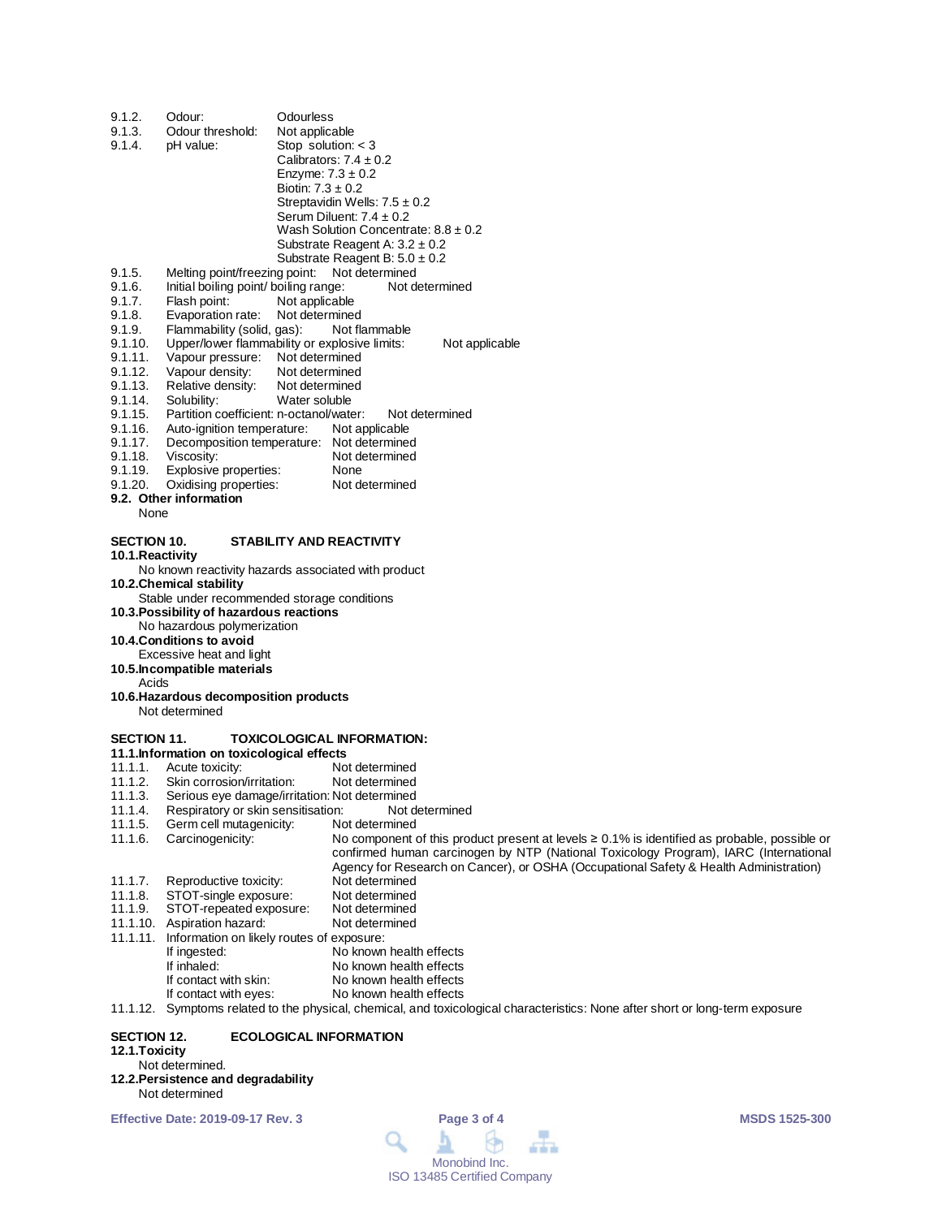| 9.1.2.             | Odour:                                                   | Odourless                                                                                               |
|--------------------|----------------------------------------------------------|---------------------------------------------------------------------------------------------------------|
| 9.1.3.             | Odour threshold:                                         | Not applicable                                                                                          |
| 9.1.4.             | pH value:                                                | Stop solution: $<$ 3                                                                                    |
|                    |                                                          | Calibrators: $7.4 \pm 0.2$                                                                              |
|                    |                                                          | Enzyme: $7.3 \pm 0.2$                                                                                   |
|                    |                                                          | Biotin: $7.3 \pm 0.2$                                                                                   |
|                    |                                                          | Streptavidin Wells: $7.5 \pm 0.2$                                                                       |
|                    |                                                          | Serum Diluent: $7.4 \pm 0.2$                                                                            |
|                    |                                                          | Wash Solution Concentrate: $8.8 \pm 0.2$                                                                |
|                    |                                                          | Substrate Reagent A: $3.2 \pm 0.2$                                                                      |
|                    |                                                          | Substrate Reagent B: $5.0 \pm 0.2$                                                                      |
| 9.1.5.             | Melting point/freezing point:                            | Not determined                                                                                          |
| 9.1.6.<br>9.1.7.   | Initial boiling point/ boiling range:<br>Flash point:    | Not determined<br>Not applicable                                                                        |
| 9.1.8.             | Evaporation rate:                                        | Not determined                                                                                          |
| 9.1.9.             | Flammability (solid, gas):                               | Not flammable                                                                                           |
| 9.1.10.            |                                                          | Upper/lower flammability or explosive limits:<br>Not applicable                                         |
| 9.1.11.            | Vapour pressure: Not determined                          |                                                                                                         |
| 9.1.12.            | Vapour density:                                          | Not determined                                                                                          |
| 9.1.13.            | Relative density:                                        | Not determined                                                                                          |
| 9.1.14.            | Solubility:                                              | Water soluble                                                                                           |
| 9.1.15.            | Partition coefficient: n-octanol/water:                  | Not determined                                                                                          |
| 9.1.16.            | Auto-ignition temperature:                               | Not applicable                                                                                          |
| 9.1.17.<br>9.1.18. | Viscosity:                                               | Decomposition temperature: Not determined<br>Not determined                                             |
| 9.1.19.            | Explosive properties:                                    | None                                                                                                    |
| 9.1.20.            | Oxidising properties:                                    | Not determined                                                                                          |
|                    | 9.2. Other information                                   |                                                                                                         |
| None               |                                                          |                                                                                                         |
| <b>SECTION 10.</b> |                                                          | <b>STABILITY AND REACTIVITY</b>                                                                         |
| 10.1. Reactivity   |                                                          |                                                                                                         |
|                    |                                                          | No known reactivity hazards associated with product                                                     |
|                    | 10.2. Chemical stability                                 |                                                                                                         |
|                    |                                                          | Stable under recommended storage conditions                                                             |
|                    | 10.3. Possibility of hazardous reactions                 |                                                                                                         |
|                    | No hazardous polymerization                              |                                                                                                         |
|                    | 10.4.Conditions to avoid                                 |                                                                                                         |
|                    | Excessive heat and light<br>10.5. Incompatible materials |                                                                                                         |
| Acids              |                                                          |                                                                                                         |
|                    | 10.6. Hazardous decomposition products                   |                                                                                                         |
|                    | Not determined                                           |                                                                                                         |
| <b>SECTION 11.</b> |                                                          | <b>TOXICOLOGICAL INFORMATION:</b>                                                                       |
|                    | 11.1. Information on toxicological effects               |                                                                                                         |
| 11.1.1.            | Acute toxicity:                                          | Not determined                                                                                          |
| 11.1.2.            | Skin corrosion/irritation:                               | Not determined                                                                                          |
| 11.1.3.            |                                                          | Serious eye damage/irritation: Not determined                                                           |
| 11.1.4.            | Respiratory or skin sensitisation:                       | Not determined                                                                                          |
| 11.1.5.            | Germ cell mutagenicity:                                  | Not determined                                                                                          |
| 11.1.6.            | Carcinogenicity:                                         | No component of this product present at levels $\geq 0.1\%$ is identified as probable, possible or      |
|                    |                                                          | confirmed human carcinogen by NTP (National Toxicology Program), IARC (International                    |
| 11.1.7.            |                                                          | Agency for Research on Cancer), or OSHA (Occupational Safety & Health Administration)<br>Not determined |
| 11.1.8.            | Reproductive toxicity:<br>STOT-single exposure:          | Not determined                                                                                          |
|                    |                                                          |                                                                                                         |

- 11.1.9. STOT-repeated exposure: Not determined
- 11.1.10. Aspiration hazard: Not determined
- 
- 11.1.11. Information on likely routes of exposure: If ingested:  $\overline{\phantom{a}}$  No known health effects<br>If inhaled: No known health effects
	-
- No known health effects<br>No known health effects
	- If contact with skin:<br>If contact with eyes: No known health effects
- 11.1.12. Symptoms related to the physical, chemical, and toxicological characteristics: None after short or long-term exposure

## **SECTION 12. ECOLOGICAL INFORMATION 12.1.Toxicity**

## Not determined.

**12.2.Persistence and degradability** Not determined

**Effective Date: 2019-09-17 Rev. 3 Page 3 of 4 MSDS 1525-300**

m Q 血血血 Monobind Inc. ISO 13485 Certified Company